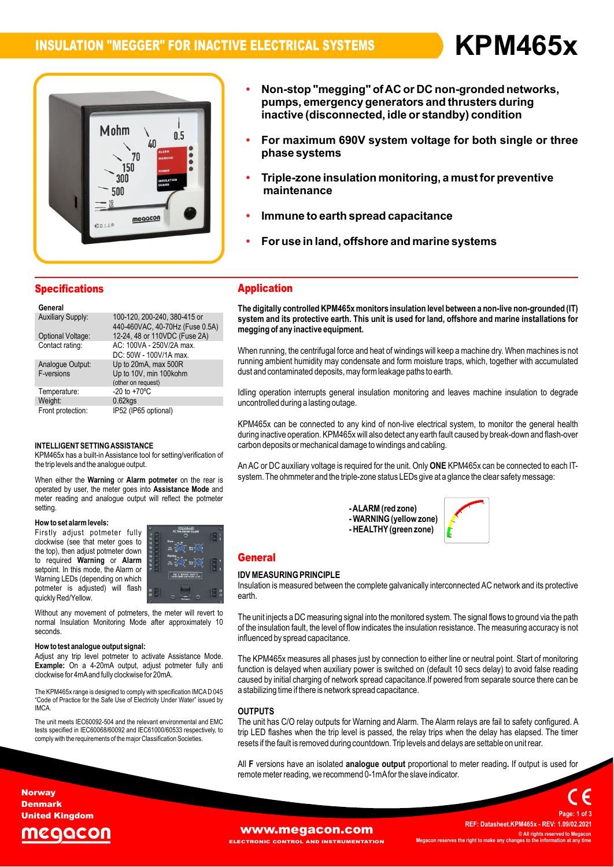**ï**

**Non-stop**



 **"megging" of or DC non-gronded networks, pumps,**report of the system of the three call in the single or three<br>**both contracts** in the orthree call in the maximum 690V system voltage for both single or three **emergency generators and thrusters during Non-stop "megging" of AC or DC non-gronded networks,<br>pumps, emergency generators and thrusters during<br>inactive (disconnected. idle or standby) condition For maximum 690V system voltage forphase**

**AC**

- **insulation monitoring, <sup>a</sup> must for preventive** r <del>or maxim</del><br>nhaeo evetr **maintenances (alsoomlocted)**<br>aximum 690V sys<br>systems
- **offshire there is a construction in the spread capacitance**<br> **Immune to earth spread capacitance** maintenance
- **ï**
- nune to earth spread capacitance<br>use in land, offshore and marine systems

# **Specifications**

| General                  |                                                                 |
|--------------------------|-----------------------------------------------------------------|
| <b>Auxiliary Supply:</b> | 100-120, 200-240, 380-415 or<br>440-460VAC, 40-70Hz (Fuse 0.5A) |
| Optional Voltage:        | 12-24, 48 or 110VDC (Fuse 2A)                                   |
| Contact rating:          | AC: 100VA - 250V/2A max.                                        |
| Analogue Output:         | DC: 50W - 100V/1A max.<br>Up to 20mA, max 500R                  |
| F-versions               | Up to 10V, min 100kohm<br>(other on request)                    |
| Temperature:             | $-20$ to $+70^{\circ}$ C                                        |
| Weight:                  | $0.62$ <sub>kgs</sub>                                           |
| Front protection:        | IP52 (IP65 optional)                                            |

### INTELLIGENT SETTING ASSISTANCE

the trip levels and the analogue output. **output.<br>Alarm potmeter** on th iNTELLIGENT SETTING ASSISTANCE<br>KPM465x has a built-in Assistance tool for setting/verification of<br>the trip levels and the analogue output. When the trip levels and the analogue output. the trip levels and the analogue output.<br>When either the **Warning or Alarm potmeter** on the rear is sys

the rear is<br>**Mode** and When either the **Warning** or Al<mark>arm potmeter</mark> on the rear is syst<br>operated by user, the meter goes into Assistance Mode and When either the Warning or Alarm potmeter on the rear is system. The ohmmeter and the triple-zone status LEDs give at a glance the clear safety message:<br>operated by user, the meter goes into Assistance Mode and<br>meter readi setting setting.<br>**How to set alarm levels:** 

### now to se

**EXECUTE:** THE MILD CONSIDERT AND THE MILD CONSIDER THE MILD CONSIDER A MILD CONSIDER A MILD CONSIDER A MILD CON<br>The top), then adjust potmeter down **Alarm instrument of the matchman of Alarm**<br> **Alarm** is a set of **Alarm** is a set of **Warning** or **Alarm How to set alarm levels:**<br>Firstly adjust potmeter fully **in the set of the set of the set of the set of the set of the set of the set of**<br>clockwise (see that meter ooes to "i" is " Prockwise (see that meter goes to<br>the top), then adjust potmeter down<br>to required **Warning** or **Alarm**<br>setpoint. In this mode, the Alarm or<br>Warning LEDs (depending on which vvarning LEDS (dependin<br>potmeter is adjusted)<br>quickly Red/Yellow. to required Warning or Alarm setpoint. In this mode, the Alarm or selpoint. In this mode, the Alamn of<br>Warning LEDs (depending on which<br>potmeter is adjusted) will flash a



and the method of the meter will revert to<br>Althout any movement of potmeters, the meter will revert to<br>Normal Insulation Monitoring Mode after approximately 10 seconds

clockwise for 4mA and fully clockwise for 20mA. **the weight of the signal: help weight of the signal:** Adjust any trip level potmeter to activate Assistance Mode. **How to test analogue output signal:**<br>Adjust any trip level potmeter to activate Assistance Mode.<br>**Example:** On a 4-20mA output, adjust potmeter fully anti y trip lever potmeter to activate A<br>On a 4-20mA output, adjust po<br>for 4mAand fully clockwise for 20mA.

Cal<br>The KPM465x range is designed to comply with specification IMCAD 045 as<br>Code of Practice for the Safe Use of Electricity Under Water" issued by<br>Code of Practice for the Safe Use of Electricity Under Water" issued by **IMCA** 

**OUT**<br>The unit meets IEC60092-504 and the relevant environmental and EMC The I<br>tests specified in IEC60068/60092 and IEC61000/60533 respectively, to +-ip\_I tests specified in IEC60068/60092 and IEC61000/60533 respectively, to comply with the requirements of the major Classification Societies.

# Application **The**

Application<br>The digitally controlled KPM465x monitors insulation level between a non-live non-grounded (IT)<br>svstem and its protective earth. This unit is used for land. offshore and marine installations for system and its protective earth. This unit is used for land, offshore and marine installations for megging of any inactive equipment.

rnegging or any inactive equipment.<br>When running, the centrifugal force and heat of windings will keep a machine dry. When machines is not<br>running ambient humidity may condensate and form moisture traps, which, together wi running ambient humidity may condensate and form moisture traps, which, together with accumulated dust and contaminated deposits, may form leakage paths to earth.

dust and contaminated deposits, may formieakage patris to earth.<br>Idling operation interrupts general insulation monitoring and leaves machine insulation to degrade<br>uncontrolled during a lasting outage.

uncontroned during a rasting outage.<br>KPM465x can be connected to any kind of non-live electrical system, to monitor the general health<br>during inactive operation. KPM465x will also detect any earth fault caused by break-dow during inactive operation. KPM465x will also detect any earth fault caused by break-down and flash-over carbon deposits or mechanical damage to windings and cabling.

canoon deposits or mechanical damage to windings and cability.<br>An AC or DC auxiliary voltage is required for the unit. Only **ONE** KPM465x can be connected to each ITauxiliary voltage is required for the unit. Only ONE KPM465x can be connected to each l<br>ohmmeter and the triple-zone status LEDs give at a glance the clear safety message:

> **reen )**  $\mathbf{v}$ -ALARIVI (I<del>C</del>U)<br>- 14/4 DAIN 10



# **General**

# $\sum_{i=1}^{n}$

Insulation is measured between the complete galvanically interconnected AC network and its protective ida ni earth

earth.<br>The unit injects a DC measuring signal into the monitored system. The signal flows to ground via the path<br>of the insulation fault, the level of flow indicates the insulation resistance. The measuring accuracy is not of the insulation fault, the level of flow indicates the insulation resistance. The measuring accuracy is not influenced by spread capacitance.

a stabilizing time if there is network spread capacitance. minuenced by spread capacitance.<br>The KPM465x measures all phases just by connection to either line or neutral point. Start of monitoring<br>function is delaved when auxiliary power is switched on (default 10 secs delav) to av The KPM463x measures all phases just by conflection to either line or heutral point. Start of monitoring<br>function is delayed when auxiliary power is switched on (default 10 secs delay) to avoid false reading<br>caused by init caused by initial charging of network spread capacitance. If powered from separate source there can be

### $\overline{a}$ uu<br>Ti

resets if the fault is removed during countdown. Trip levels and delays are settable on unit rear. PUTS<br>unit has C/O relay outputs for Warning and Alarm. The Alarm relays are fail to safety configured. A oo rPoTs<br>The unit has C/O relay outputs for Warning and Alarm. The Alarm relays are fail to safety configured. A<br>trip LED flashes when the trip level is passed. the relav trips when the delav has elapsed. The timer trip LED flashes when the trip level is passed, the relay trips when the delay has elapsed. The timer

resets if the radit is removed during countdown. Thip levels and delays are settable on unit rear.<br>All F versions have an isolated **analogue output** proportional to meter reading. If output is used for

**Norway** Denmark United Kingdom

# egacon

### **[www.megacon.com](http://www.megacon.com)**<br>ECTRONIC CONTROL AND INSTRUMENTATION Megacon reserves the right to make any char **ECTRONIC CONTROL AND INSTRUMENTATION**

 **Datasheet.KPM465x - REV: 1.09/02.2021 © All rights reserved to Megacon MegaconC** All rights reserved to Megacor<br>**right to** the information at any time

**Page:**

**<sup>1</sup> of <sup>3</sup>**

**REF:**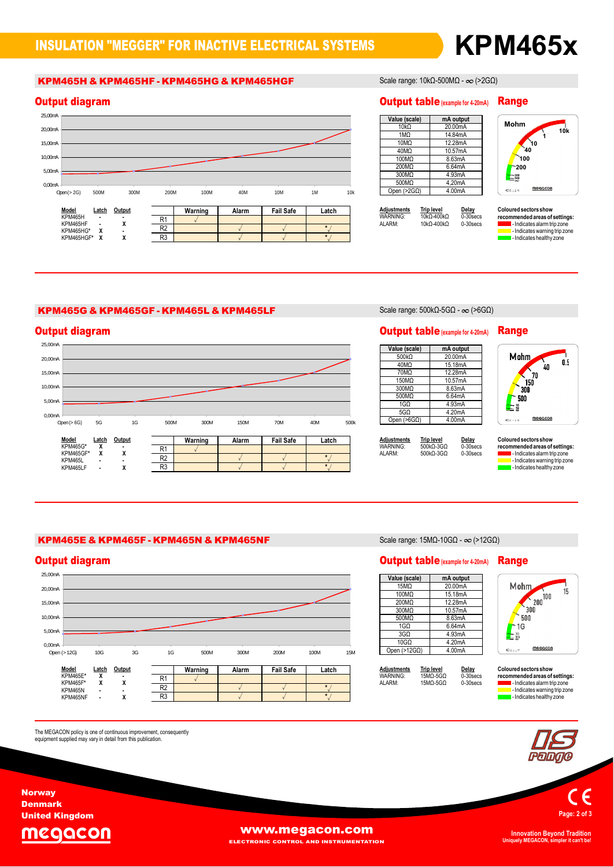## KPM465H & KPM465HF - KPM465HG & KPM465HGF Scale range: 10kΩ-500MΩ -  $\infty$  (>2GΩ)



### **Mohm**Range

| Value (scale) | mA output |
|---------------|-----------|
| $10k\Omega$   | 20.00mA   |
| 1MO           | 14.84mA   |
| 10MQ          | 12.28mA   |
| 40MQ          | 10.57mA   |
| 100MQ         | 8.63mA    |
| 200MQ         | 6.64mA    |
| 300MΩ         | 4.93mA    |
| 500MQ         | 4.20mA    |
| Open $(>2G0)$ | 4.00mA    |

| <b>Adjustments</b> | <b>Trip level</b> | Delav       | C |
|--------------------|-------------------|-------------|---|
| WARNING:           | 10kQ-400kQ        | $0-30$ secs | n |
| AI ARM·            | 10kQ-400kQ        | $0-30$ secs |   |
|                    |                   |             |   |



**red sectors show<br>imended areas of settings:<br>- Indicates alarm trip zone** mended areas or settings:<br>- Indicates alarm trip zone<br>- Indicates warning trip zone<br>- Indicates healthy zone

### KPM465G & KPM465GF - KPM465L & KPM465LF Scale range:  $500k\Omega$ - $5$ G $\Omega$  -  $\infty$  (>6G $\Omega$ )

 $\overline{R3}$ 



| Value (scale)        | mA output |
|----------------------|-----------|
| 500 <sub>k</sub> Q   | 20.00mA   |
| 40MΩ                 | 15.18mA   |
| 70MΩ                 | 12.28mA   |
| 150MΩ                | 10.57mA   |
| 300MQ                | 8.63mA    |
| 500MQ                | 6.64mA    |
| 1G <sub>0</sub>      | 4.93mA    |
| 5G <sub>O</sub>      | 4.20mA    |
| Open (>6G $\Omega$ ) | 4.00mA    |



| <b>Adjustments</b> | <b>Trip level</b> | Delay       | C |
|--------------------|-------------------|-------------|---|
| WARNING:           | 500kO-3GO         | $0-30$ secs | n |
| ALARM:             | 500kO-3GO         | $0-30$ secs |   |
|                    |                   |             |   |

**Sectors show red sectors show<br>imended areas of settings:<br>- Indicates alarm trip zone** rnenaea areas or setungs:<br>- Indicates alarm trip zone<br>- Indicates warning trip zone I - Indicates warning trip zone<br>I - Indicates healthy zone

## KPM465E & KPM465F - KPM465N & KPM465NF Scale range: 15MΩ-10G $\Omega$  -  $\infty$  (>12G $\Omega$ )



The MEGACON policy is one of continuous improvement, consequently<br>equipment supplied may vary in detail from this publication.

| Value (scale)       | mA output |
|---------------------|-----------|
| 15MQ                | 20.00mA   |
| 100MΩ               | 15.18mA   |
| 200MQ               | 12.28mA   |
| 300MQ               | 10.57mA   |
| 500MQ               | 8.63mA    |
| 1G <sub>O</sub>     | 6.64mA    |
| 3G <sub>O</sub>     | 4.93mA    |
| 10G <sub>2</sub>    | 4.20mA    |
| Open $(>12G\Omega)$ | 4.00mA    |

| <b>Adjustments</b><br>WARNING:<br>AI ARM· | <b>Trip level</b><br>15MO-5GO<br>15MO-5GO | Delay<br>$0-30$ secs<br>$0-30$ secs | C<br>n |
|-------------------------------------------|-------------------------------------------|-------------------------------------|--------|
|                                           |                                           |                                     |        |

Mohm  $\frac{1}{200}$  100 15  $\frac{2}{300}$  $500$  $-16$  $\frac{1}{2}$  16 megacon

# $\mathbf c$  coloured sectors show

**red sectors show<br>imended areas of settings:<br>- Indicates alarm trip zone** mended areas or settings:<br>- Indicates alarm trip zone<br>- Indicates warning trip zone<br>- Indicates healthy zone



**Page:** $\mathsf{C} \in \mathsf{P}$ <br> **Page: 2 of 3** 

MEGACON

**Norway** Denmark United Kingdom

The

# **WWW.megacon.com**

ELECTRONIC CONTROL AND INSTRUMENTATION

**Uniquely MEGACON, simpler it can't be!**